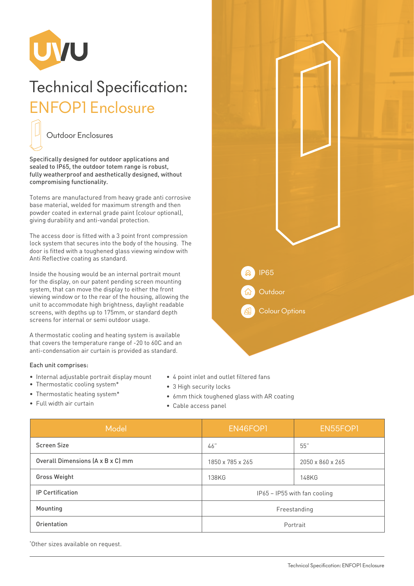

## Technical Specification: ENFOP1 Enclosure



Specifically designed for outdoor applications and sealed to IP65, the outdoor totem range is robust, fully weatherproof and aesthetically designed, without compromising functionality.

Totems are manufactured from heavy grade anti corrosive base material, welded for maximum strength and then powder coated in external grade paint (colour optional), giving durability and anti-vandal protection.

The access door is fitted with a 3 point front compression lock system that secures into the body of the housing. The door is fitted with a toughened glass viewing window with Anti Reflective coating as standard.

Inside the housing would be an internal portrait mount for the display, on our patent pending screen mounting system, that can move the display to either the front viewing window or to the rear of the housing, allowing the unit to accommodate high brightness, daylight readable screens, with depths up to 175mm, or standard depth screens for internal or semi outdoor usage.

A thermostatic cooling and heating system is available that covers the temperature range of -20 to 60C and an anti-condensation air curtain is provided as standard.

## Each unit comprises:

- Internal adjustable portrait display mount
- Thermostatic cooling system\*
- Thermostatic heating system\*
- 3 High security locks • 6mm thick toughened glass with AR coating

• 4 point inlet and outlet filtered fans

• Full width air curtain

• Cable access panel

| Model                             | EN46FOP1                     | EN55FOP1         |
|-----------------------------------|------------------------------|------------------|
| <b>Screen Size</b>                | 46"                          | 55"              |
| Overall Dimensions (A x B x C) mm | 1850 x 785 x 265             | 2050 x 860 x 265 |
| <b>Gross Weight</b>               | 138KG                        | 148KG            |
| <b>IP Certification</b>           | IP65 - IP55 with fan cooling |                  |
| Mounting                          | Freestanding                 |                  |
| Orientation                       | Portrait                     |                  |

\* Other sizes available on request.

**Outdoor** IP65 Colour Options